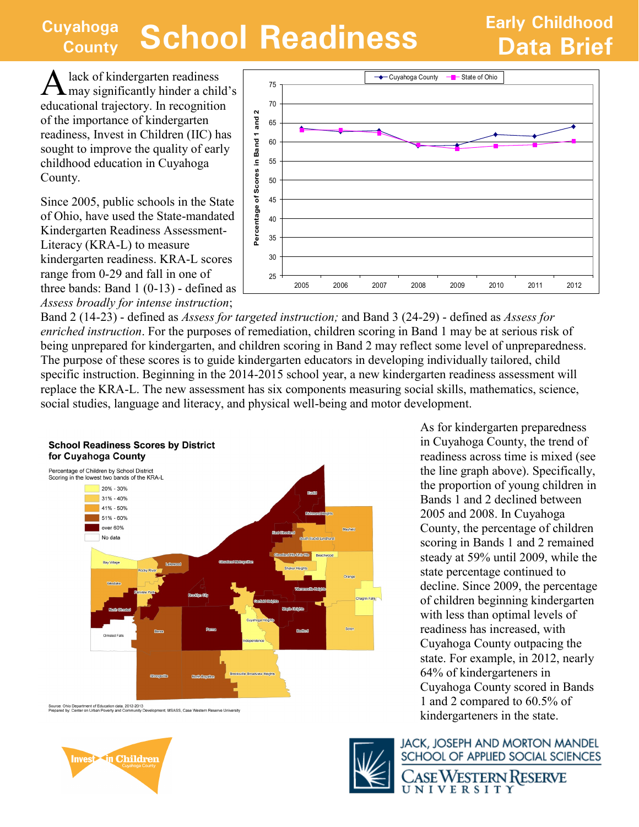## **Cuyahoga County School Readiness Data Brief**

A lack of kindergarten readiness may significantly hinder a child's educational trajectory. In recognition of the importance of kindergarten readiness, Invest in Children (IIC) has sought to improve the quality of early childhood education in Cuyahoga County.

Since 2005, public schools in the State of Ohio, have used the State-mandated Kindergarten Readiness Assessment-Literacy (KRA-L) to measure kindergarten readiness. KRA-L scores range from 0-29 and fall in one of three bands: Band 1 (0-13) - defined as *Assess broadly for intense instruction*;



Band 2 (14-23) - defined as *Assess for targeted instruction;* and Band 3 (24-29) - defined as *Assess for enriched instruction*. For the purposes of remediation, children scoring in Band 1 may be at serious risk of being unprepared for kindergarten, and children scoring in Band 2 may reflect some level of unpreparedness. The purpose of these scores is to guide kindergarten educators in developing individually tailored, child specific instruction. Beginning in the 2014-2015 school year, a new kindergarten readiness assessment will replace the KRA-L. The new assessment has six components measuring social skills, mathematics, science, social studies, language and literacy, and physical well-being and motor development.



Source: Ohio Department of Education data, 2012-2013<br>Prepared by: Center on Urban Poverty and Community Development, MSASS, Case Western Reserve University



As for kindergarten preparedness in Cuyahoga County, the trend of readiness across time is mixed (see the line graph above). Specifically, the proportion of young children in Bands 1 and 2 declined between 2005 and 2008. In Cuyahoga County, the percentage of children scoring in Bands 1 and 2 remained steady at 59% until 2009, while the state percentage continued to decline. Since 2009, the percentage of children beginning kindergarten with less than optimal levels of readiness has increased, with Cuyahoga County outpacing the state. For example, in 2012, nearly 64% of kindergarteners in Cuyahoga County scored in Bands 1 and 2 compared to 60.5% of kindergarteners in the state.



**JACK, JOSEPH AND MORTON MANDEL** SCHOOL OF APPLIED SOCIAL SCIENCES ASE WESTERN RESERVE UNIVERSITY